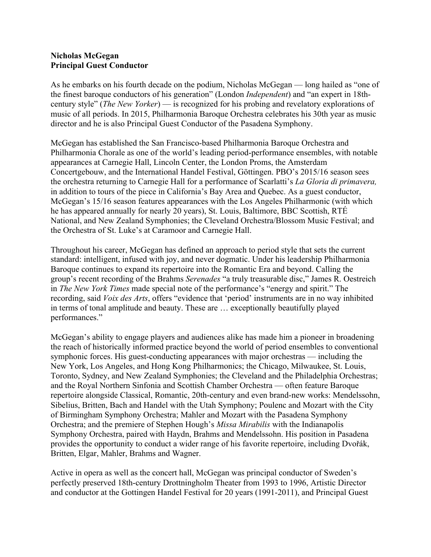## **Nicholas McGegan Principal Guest Conductor**

As he embarks on his fourth decade on the podium, Nicholas McGegan — long hailed as "one of the finest baroque conductors of his generation" (London *Independent*) and "an expert in 18thcentury style" (*The New Yorker*) — is recognized for his probing and revelatory explorations of music of all periods. In 2015, Philharmonia Baroque Orchestra celebrates his 30th year as music director and he is also Principal Guest Conductor of the Pasadena Symphony.

McGegan has established the San Francisco-based Philharmonia Baroque Orchestra and Philharmonia Chorale as one of the world's leading period-performance ensembles, with notable appearances at Carnegie Hall, Lincoln Center, the London Proms, the Amsterdam Concertgebouw, and the International Handel Festival, Göttingen. PBO's 2015/16 season sees the orchestra returning to Carnegie Hall for a performance of Scarlatti's *La Gloria di primavera,*  in addition to tours of the piece in California's Bay Area and Quebec. As a guest conductor, McGegan's 15/16 season features appearances with the Los Angeles Philharmonic (with which he has appeared annually for nearly 20 years), St. Louis, Baltimore, BBC Scottish, RTÉ National, and New Zealand Symphonies; the Cleveland Orchestra/Blossom Music Festival; and the Orchestra of St. Luke's at Caramoor and Carnegie Hall.

Throughout his career, McGegan has defined an approach to period style that sets the current standard: intelligent, infused with joy, and never dogmatic. Under his leadership Philharmonia Baroque continues to expand its repertoire into the Romantic Era and beyond. Calling the group's recent recording of the Brahms *Serenades* "a truly treasurable disc," James R. Oestreich in *The New York Times* made special note of the performance's "energy and spirit." The recording, said *Voix des Arts*, offers "evidence that 'period' instruments are in no way inhibited in terms of tonal amplitude and beauty. These are … exceptionally beautifully played performances."

McGegan's ability to engage players and audiences alike has made him a pioneer in broadening the reach of historically informed practice beyond the world of period ensembles to conventional symphonic forces. His guest-conducting appearances with major orchestras — including the New York, Los Angeles, and Hong Kong Philharmonics; the Chicago, Milwaukee, St. Louis, Toronto, Sydney, and New Zealand Symphonies; the Cleveland and the Philadelphia Orchestras; and the Royal Northern Sinfonia and Scottish Chamber Orchestra — often feature Baroque repertoire alongside Classical, Romantic, 20th-century and even brand-new works: Mendelssohn, Sibelius, Britten, Bach and Handel with the Utah Symphony; Poulenc and Mozart with the City of Birmingham Symphony Orchestra; Mahler and Mozart with the Pasadena Symphony Orchestra; and the premiere of Stephen Hough's *Missa Mirabilis* with the Indianapolis Symphony Orchestra, paired with Haydn, Brahms and Mendelssohn. His position in Pasadena provides the opportunity to conduct a wider range of his favorite repertoire, including Dvořák, Britten, Elgar, Mahler, Brahms and Wagner.

Active in opera as well as the concert hall, McGegan was principal conductor of Sweden's perfectly preserved 18th-century Drottningholm Theater from 1993 to 1996, Artistic Director and conductor at the Gottingen Handel Festival for 20 years (1991-2011), and Principal Guest